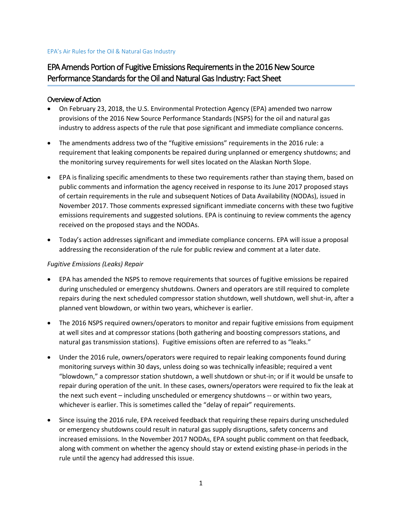#### EPA's Air Rules for the Oil & Natural Gas Industry

# EPA Amends Portion of Fugitive Emissions Requirements in the 2016 New Source Performance Standards for the Oil and Natural Gas Industry: Fact Sheet

#### Overview of Action

- On February 23, 2018, the U.S. Environmental Protection Agency (EPA) amended two narrow provisions of the 2016 New Source Performance Standards (NSPS) for the oil and natural gas industry to address aspects of the rule that pose significant and immediate compliance concerns.
- The amendments address two of the "fugitive emissions" requirements in the 2016 rule: a requirement that leaking components be repaired during unplanned or emergency shutdowns; and the monitoring survey requirements for well sites located on the Alaskan North Slope.
- EPA is finalizing specific amendments to these two requirements rather than staying them, based on public comments and information the agency received in response to its June 2017 proposed stays of certain requirements in the rule and subsequent Notices of Data Availability (NODAs), issued in November 2017. Those comments expressed significant immediate concerns with these two fugitive emissions requirements and suggested solutions. EPA is continuing to review comments the agency received on the proposed stays and the NODAs.
- Today's action addresses significant and immediate compliance concerns. EPA will issue a proposal addressing the reconsideration of the rule for public review and comment at a later date.

### *Fugitive Emissions (Leaks) Repair*

- EPA has amended the NSPS to remove requirements that sources of fugitive emissions be repaired during unscheduled or emergency shutdowns. Owners and operators are still required to complete repairs during the next scheduled compressor station shutdown, well shutdown, well shut-in, after a planned vent blowdown, or within two years, whichever is earlier.
- The 2016 NSPS required owners/operators to monitor and repair fugitive emissions from equipment at well sites and at compressor stations (both gathering and boosting compressors stations, and natural gas transmission stations). Fugitive emissions often are referred to as "leaks."
- Under the 2016 rule, owners/operators were required to repair leaking components found during monitoring surveys within 30 days, unless doing so was technically infeasible; required a vent "blowdown," a compressor station shutdown, a well shutdown or shut-in; or if it would be unsafe to repair during operation of the unit. In these cases, owners/operators were required to fix the leak at the next such event – including unscheduled or emergency shutdowns -- or within two years, whichever is earlier. This is sometimes called the "delay of repair" requirements.
- Since issuing the 2016 rule, EPA received feedback that requiring these repairs during unscheduled or emergency shutdowns could result in natural gas supply disruptions, safety concerns and increased emissions. In the November 2017 NODAs, EPA sought public comment on that feedback, along with comment on whether the agency should stay or extend existing phase-in periods in the rule until the agency had addressed this issue.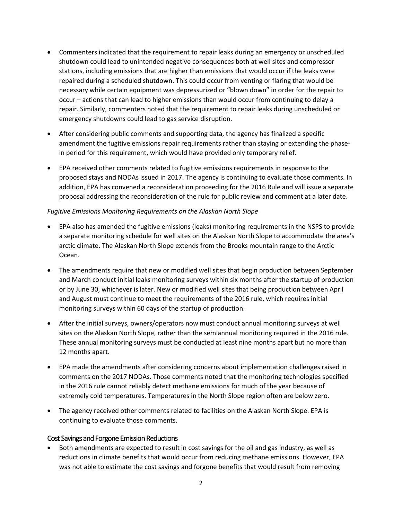- Commenters indicated that the requirement to repair leaks during an emergency or unscheduled shutdown could lead to unintended negative consequences both at well sites and compressor stations, including emissions that are higher than emissions that would occur if the leaks were repaired during a scheduled shutdown. This could occur from venting or flaring that would be necessary while certain equipment was depressurized or "blown down" in order for the repair to occur – actions that can lead to higher emissions than would occur from continuing to delay a repair. Similarly, commenters noted that the requirement to repair leaks during unscheduled or emergency shutdowns could lead to gas service disruption.
- After considering public comments and supporting data, the agency has finalized a specific amendment the fugitive emissions repair requirements rather than staying or extending the phasein period for this requirement, which would have provided only temporary relief.
- EPA received other comments related to fugitive emissions requirements in response to the proposed stays and NODAs issued in 2017. The agency is continuing to evaluate those comments. In addition, EPA has convened a reconsideration proceeding for the 2016 Rule and will issue a separate proposal addressing the reconsideration of the rule for public review and comment at a later date.

### *Fugitive Emissions Monitoring Requirements on the Alaskan North Slope*

- EPA also has amended the fugitive emissions (leaks) monitoring requirements in the NSPS to provide a separate monitoring schedule for well sites on the Alaskan North Slope to accommodate the area's arctic climate. The Alaskan North Slope extends from the Brooks mountain range to the Arctic Ocean.
- The amendments require that new or modified well sites that begin production between September and March conduct initial leaks monitoring surveys within six months after the startup of production or by June 30, whichever is later. New or modified well sites that being production between April and August must continue to meet the requirements of the 2016 rule, which requires initial monitoring surveys within 60 days of the startup of production.
- After the initial surveys, owners/operators now must conduct annual monitoring surveys at well sites on the Alaskan North Slope, rather than the semiannual monitoring required in the 2016 rule. These annual monitoring surveys must be conducted at least nine months apart but no more than 12 months apart.
- EPA made the amendments after considering concerns about implementation challenges raised in comments on the 2017 NODAs. Those comments noted that the monitoring technologies specified in the 2016 rule cannot reliably detect methane emissions for much of the year because of extremely cold temperatures. Temperatures in the North Slope region often are below zero.
- The agency received other comments related to facilities on the Alaskan North Slope. EPA is continuing to evaluate those comments.

## Cost Savings and Forgone Emission Reductions

 Both amendments are expected to result in cost savings for the oil and gas industry, as well as reductions in climate benefits that would occur from reducing methane emissions. However, EPA was not able to estimate the cost savings and forgone benefits that would result from removing